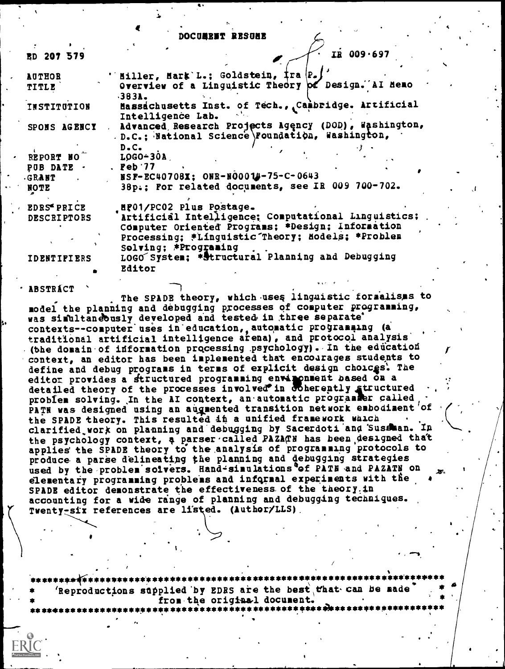#### DOCUMBET RESURE

| ED 207 579         | $I\dot{R}$ 009.697                                                                                       |
|--------------------|----------------------------------------------------------------------------------------------------------|
| <b>AUTHOR</b>      | ''Miller, Mark'L.; Goldstein, İra (P.)                                                                   |
| TITLE              | Overview of a Linguistic Theory of Design. AI Memo<br>$-383$ .                                           |
| INSTITUTION        | Hassachusetts Inst. of Tech., Cambridge. Artificial<br>Intelligence Lab.                                 |
| SPONS AGENCY       | . Advanced Research Projects Agency (DOD), Washington,<br>D.C.; National Science Poundation, Washington, |
| REPORT NO          | $D$ . $C$ .<br>$LOGO-30A$                                                                                |
| PUB DATE -         | . $\text{Peb } 77$                                                                                       |
| GRANT .            | NSF-EC40708X; ONR-NO0014-75-C-0643                                                                       |
| NOTE               | 38p.; For related documents, see IR 009 700-702.                                                         |
| <b>EDRS* PRICE</b> | _HP01/PC02 Plus Postage.                                                                                 |
| <b>DESCRIPTORS</b> | Artificial Intelligence; Computational Linguistics;                                                      |
|                    | Computer Oriented Programs; *Design; Information                                                         |
|                    | Processing; #Linguistic Theory; Models; *Problem                                                         |
|                    | Solving: *Programing                                                                                     |
| <b>IDENTIPIERS</b> | LOGO System: * Structural Planning and Debugging                                                         |
|                    | Editor                                                                                                   |
|                    |                                                                                                          |

**ABSTRÁCT** 

The SPADE theory, which uses linguistic formalisms to model the planning and debugging processes of computer programming, was simultaneously developed and tested in three separate' contexts--computer uses in education, automatic programming (a traditional artificial intelligence arena), and protocol analysis (the domain of information processing psychology). In the education context, an editor has been implemented that encourages students to define and debug programs in terms of explicit design choices. The editor provides a structured programming environment based on a detailed theory of the processes involved in coherently structured problem solving. In the AI context, an automatic programmer called PATH was designed using an augmented transition network embodiment of the SPADE theory. This resulted in a unified framework waich clarified work on planning and debugging by Sacerdoti and Sussman. In the psychology context, a parser called PAZATN has been designed that applies the SPADE theory to the analysis of programming protocols to produce a parse delineating the planning and debugging strategies used by the problem solvers. Hand-simulations of PATH and PAZATH on elementary programming problems and informal experiments with the SPADE editor demonstrate the effectiveness of the theory.in accounting for a wide range of planning and debugging techniques. Twenty-six references are listed. (Author/LLS).

Reproductions supplied by EDRS are the best that can be made from the original document. \*\*\*\*\*\*\*<del>\*\*</del>\*\*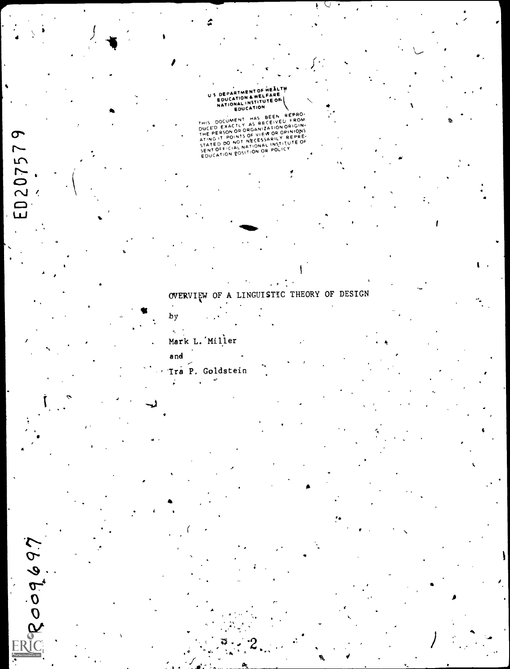# US DEPARTMENT OF HEALTH

į

REPROTESTING THE PERSON REPROTEINT AND REPROTEINMENT AND REPROTEINMENT AND REPROTEINMENT PORCHAPT CHARGE THE PERSON OF OWNER STATED DO NOT NETODAL INSTITUTE OF SENTION CONTINUES.

# OVERVIEW OF A LINGUISTIC THEORY OF DESIGN

 $\cdot$   $\cdot$  $\ddot{\phantom{a}}$ 

 $by$  $\tau_{\rm c}$ 

# Mark L. Miller

ED207579

ERooq697

and Tra P. Goldstein ž,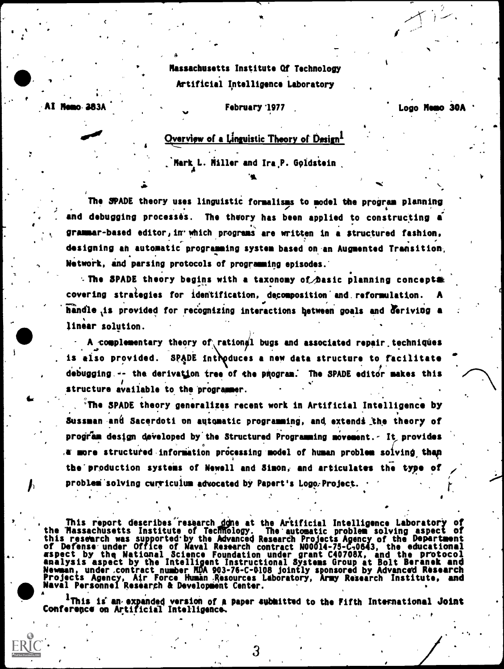Massachusetts Institute Of Technology Artificial Intelligence Laboratory

#### **Hemo 383A.** February '1977

Logo Memo 30A

,

,', ,

te

 $\theta$  and  $\theta$ 

 $\blacksquare$ 

**State of the state** 

 $\bullet$   $\bullet$   $\bullet$   $\bullet$ 

# Overview of a Linguistic Theory of Design<sup>1</sup>

'Mark L. Miller and Ira. Goldstein

'O.

The SPADE theory uses linguistic formalisms to model the program planning and debugging processes. The theory has been applied to constructing  $\tilde{a}$ grammar-based editor,in-which programs are written in a structured fashion, designing an automatic programming system based on-an Augmented Transition, Network, and parsing protocols of programming episodes.

 $\cdot$  The SPADE theory begins with a taxonomy of basic planning concepts covering strategies for identification, decomposition' and. reformulation. A handle is provided for recognizing interactions between goals and deriving a final linear solution.

A complementary theory of rationgl bugs and associated repair techniques is also provided. SPADE introduces a new data structure to facilitate  $\sim$ debugging,  $-$ - the derivation tree of the pRogram. The SPADE editor makes this structure available to the programmer.  $\cdot$ 

**OK STATE** , 'The SPADE theory generalizes recent work in Artificial Intelligence by Sussman and Sacerdoti on automatic programming, and extends the theory of program design deVeloped by the Structured Programming movement.- It provides  $\alpha$  more structured information processing model of human problem solving than the'production systems of Newell and Simon, and articulates the type of / problem solving curriculum advocated by Papert's Logo. Project.

This report describes research done at the Artificial Intelligence Laboratory of the 'Massachusetts Institute of TecRffelogy. The automatic problem solving aspect of . this research was supported by the Advanced Research Projects Agency of the Department of Defense under Office of Naval Research contract N0014-75-C10643, the educational aspect by the National Science Foundation under grant C40708X, and the protocol analysis aspect by the Intelligent Instructional Systems Group at Bolt Beranek and Newman, under.contract number RDA 903-78-C-0108 jointly sponsored by Advanced Research Projects Agency, Air Force Humin Resources Laboratory, Army Research Institute, and Naval Personnel Research & Development Center.

Naval Personnel Research & Development Center.<br>  $A = \frac{1}{2}$ This is an expanded version of a paper submitted to the Fifth International Joint Conference on Artificial Intelligence,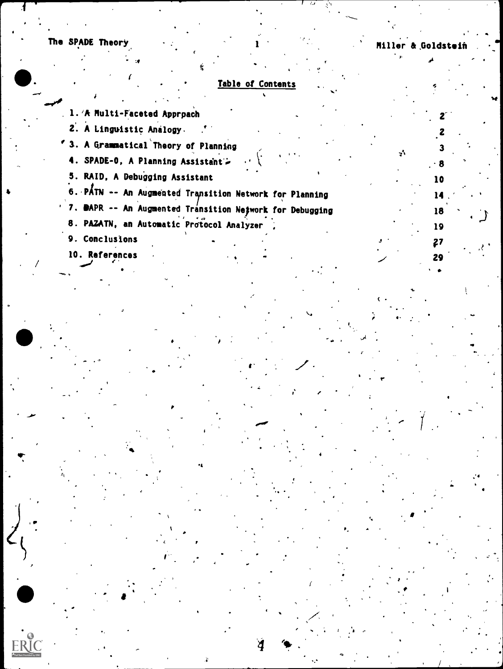The SPADE Theory

10

14

18

19

 $27$ 

29

 $\mathbf{r}$ 

# Table of Contents

1. 'A Multi-Faceted Approach

2. A Linguistic Analogy.

' 3. A Grammatical Theory of Planning

4. SPADE-0, A Planning Assistant -

5. RAID, A Debugging Assistant

6. PATN -- An Augmented Transition Network for Planning

' 7. DAPR -- An Augmented Transition Network for Debugging

8. PAZATN, an Automatic Protocol Analyzer

9. Conclusions

10. References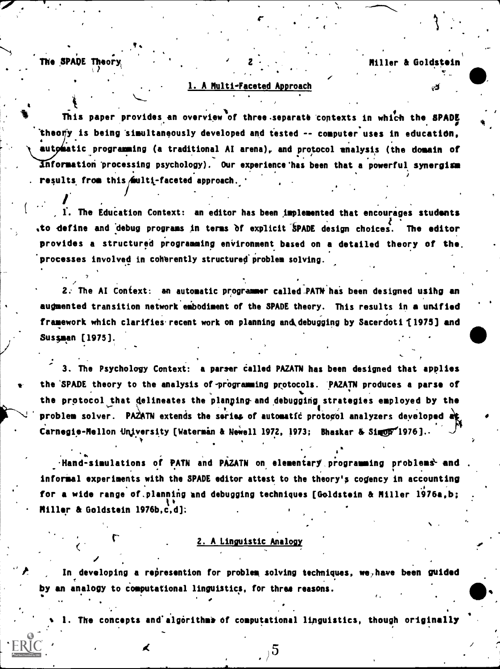The SPADE Theor

/\*

 $\cdot$  7  $\cdot$ 

.

t

### Miller & Goldstein

. .

,

### 1. A Multi-Faceted Approach

2 I.

This paper provides an overview of three.separate 'contexts in which the SPADE theo $\eta$ y is being simultaneously developed and tested -- computer uses in education, aut*p*matic programming (a traditional AI arena), and protocol analysis (the domain of nformation 'processing psychology). Our experience'has been that a powerful synergism results from this  $\sinh t$ -faceted approach.

The Education Context: an editor has been implemented that encourages students to define and debug programs in terms of explicit SPADE design choices. The editor provides a structured programming environment based on a detailed theory of the. processes involved in coherently structured problem solving.

2. The AI Context: an automatic programmer called PATN has been designed using an augmented transition network embodiment of the SPADE theory. This results in a unified framework which clarifies recent work on planning and debugging by Sacerdoti [1975] and Sussman [1975].

3. The Psychology Context: a parser called PAZATN has been designed that applies the SPADE theory to the analysis of programming protocols. 'PAZATN produces a parse of the protocol that delineates the planping-and debugging strategies employed by the problem solver. PAZATN extends the series of automatic protogol analyzers developed  $\alpha$ g Carnegie-Mellon University [Waterman & Newell 1972, 1973; Bhaskar & Simpor 1976]..

.Hand-simulations of PATN and PAZATN on elementary programming problems and informal experiments with the SPADE editor attest to the theory's cogency in accounting for a wide range of planning and debugging techniques [Goldstein & Miller 1976a,b; Miller & Goldstein 1976b,c,d]:

#### 2. A Linguistic Analogy

In developing a represention for problem solving techniques, we, have been guided by an analogy to computational linguistics, for three reasons.

The concepts and algorithms of computational linguistics, though originally

 $5\overline{5}$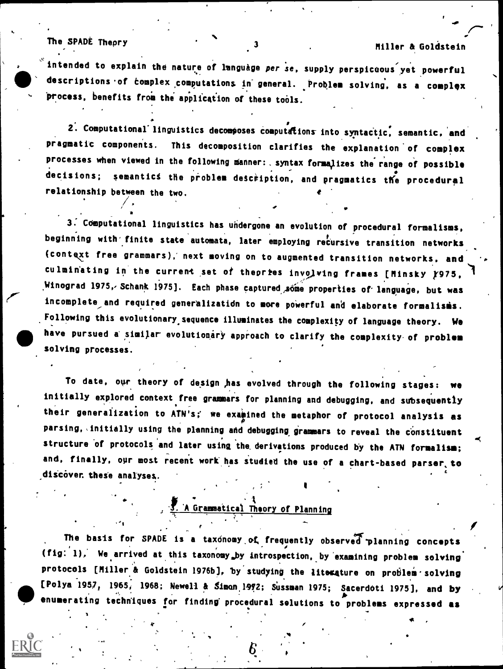ac

The SPADE Theory 3 3 Miller & Goldstein

."

intended to explain the nature of language per se, supply perspicoous yet powerful descriptions of complex computations in general. Problem solving, as a complex process, benefits from the application of these tools.

2. Computational linguistics decomposes computations into syntactic, semantic, and pragmatic components. This decomposition clarifies the explanation of complex processes when viewed in the following manner: syntax formalizes the range of possible decisions; semantics the problem description, and pragmatics the procedural relationship between the two.

3. COmputational linguistics has undergone an evolution of procedural formalisms, beginning with finite state automata, later employing recursive transition networks (context free grammars),' next moving on to augmented transition networks, and culminating in the current set of theories involving frames [Minsky }975, ,Winograd 1975, Schank 1975]. Each phase captured sóme properties of language, but was incomplete and required generalization to more powerful and elaborate formalisms. Following this evolutionary sequence illuminates the complexity of language theory. We have pursued a similar evolutionary approach to clarify the complexity of problem solving processes.

To date, our theory of design ,has evolved through the following stages: we initially explored context free grammars for planning and debugging, and subsequently their generalization to ATN's; we examined the metaphor of protocol analysis as parsing, initially using the planning and debugging grammars to reveal the constituent structure of protocols and later using the derivations produced by the ATN formalism; and, finally, our most recent work has studied the use of a chart-based parser to  $\qquad \qquad \blacksquare$ discover, these analyses.

 $\sum_{i=1}^{n}$  A Grammatical Theory of Planning

The basis for SPADE is a taxonomy of frequently observed planning concepts  $(fig; '1)$ , We arrived at this taxonomy by introspection, by examining problem solving protocols [Miller & Goldstein 1976b], by studying the literature on problem solving [Polya 1957, 1965, 1968; Newell & Simon 1972; Sussman 1975; Sacerdoti 1975], and by enumerating techniques for finding procedural solutions to problems expressed as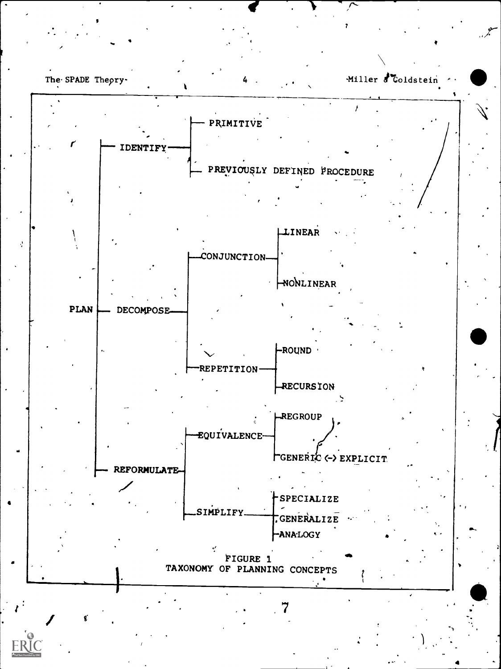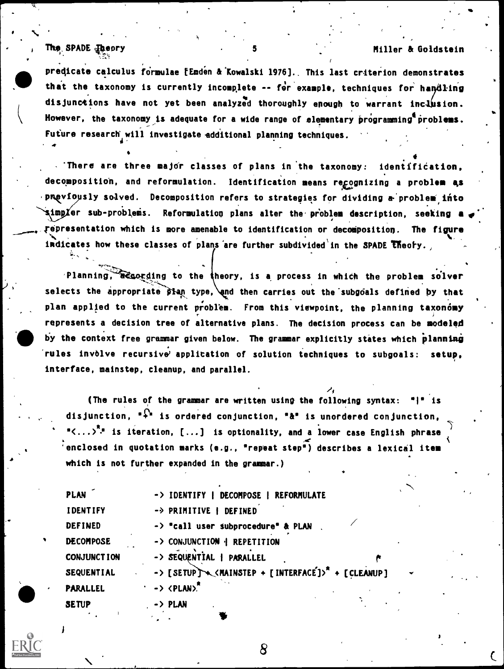### The SPADE Theory 5 and 5 Miller & Goldstein

predicate calculus formulae [Emden & Kowalski 1976]., This last criterion demonstrates that the taxonomy is currently incomplete -- for example, techniques for handling disjunctions have not yet been analyzed thoroughly enough to warrant inclusion. However, the taxonomy is adequate for a wide range of elementary programming problems. Future research will investigate additional planning techniques. 4. dit

 $\blacksquare$  There are three major classes of plans in the taxonomy: identification, decomposition, and reformulation. Identification means regognizing a problem as pmeviously solved. Decomposition refers to strategies for dividing a problem into simpler sub-problems. Reformulation plans alter the problem description, seeking a representation which is more amenable to identification or decomposition. The figure indicates how these classes of plans are further subdivided in the SPADE theory.

Planning, acsording to the theory, is a process in which the problem solver selects the appropriate  $\beta$ lan type, and then carries out the subgoals defined by that plan applied to the current problem. From this viewpoint, the planning taxonomy represents a decision tree of alternative plans. The decision process can be modeled by the context free grammar given below. The grammar explicitly states which planning rules involve recursive' application of solution techniques to subgoals: setup, interface, mainstep, cleanup, and parallel.

,) (The rules of the grammar are written using the following syntax: "I" is disjunction,  $\widehat{\cdot}$  is ordered conjunction,  $\widehat{\cdot}$  is unordered conjunction, " $\langle \ldots \rangle^{n}$ " is iteration, [...] is optionality, and a lower case English phrase 'enclosed in quotation marks (e.g., "repeat step') describes a lexical item which is not further expanded in the grammar.)

| <b>PLAN</b>        | -> IDENTIFY   DECOMPOSE   REFORMULATE                                                                       |
|--------------------|-------------------------------------------------------------------------------------------------------------|
| <b>IDENTIFY</b>    | -> PRIMITIVE   DEFINED                                                                                      |
| <b>DEFINED</b>     | -> "call user subprocedure" & PLAN                                                                          |
| <b>DECOMPOSE</b>   | -> CONJUNCTION   REPETITION                                                                                 |
| <b>CONJUNCTION</b> | -> SEQUENTIAL   PARALLEL                                                                                    |
| <b>SEQUENTIAL</b>  | -> [SETUP] \\ <mainstep +="" [interface]=""><sup>2</sup> + [CLEANUP]<br/><math>\checkmark</math></mainstep> |
| <b>PARALLEL</b>    | $\rightarrow$ <plan>.</plan>                                                                                |
| <b>SETUP</b>       | . -> PLAN                                                                                                   |



 $J = \frac{1}{2}$ 

ti a controller della controller della controller della controller della controller della controller della controller della controller della controller della controller della controller della controller della controller de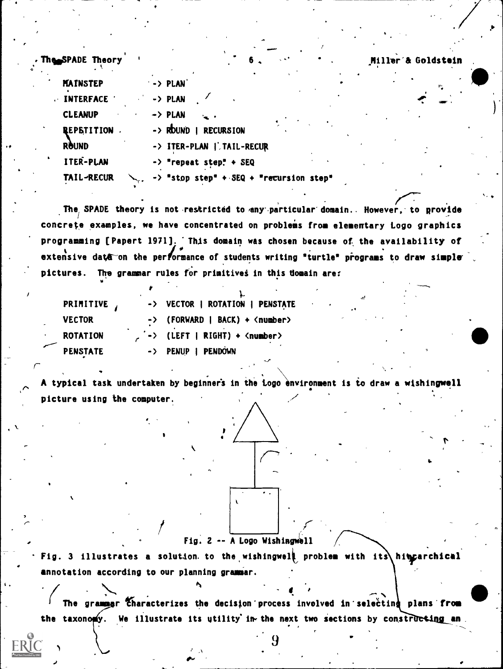Miller & Goldstein

The SPADE Theor

| <b>MAINSTEP</b>  | · -> PLAN<br>$\mathbb{F}_n$                        |
|------------------|----------------------------------------------------|
| <b>INTERFACE</b> | $\rightarrow$ PLAN                                 |
| <b>CLEANUP</b>   | $\rightarrow$ PLAN                                 |
| REPETITION .     | $\rightarrow$ RDUND<br><b>RECURSION</b>            |
| <b>ROUND</b>     | -> ITER-PLAN   TAIL-RECUR                          |
| ITER-PLAN        | $\rightarrow$ "repeat step" + SEQ                  |
| TAIL-RECUR       | $\rightarrow$ "stop step" + SEQ + "recursion step" |

The SPADE theory is not restricted to any particular domain. However, to provide concrete examples, we have concentrated on problems from elementary togo graphics programming [Papert 1971]. This domain was chosen because of the availability of extensive data on the performance of students writing "turtle" programs to draw simple pictures. The grammar rules for primitives in this domain are:

| PRIMITIVE,      |   | -> VECTOR   ROTATION   PENSTATE                |
|-----------------|---|------------------------------------------------|
| <b>VECTOR</b>   |   | -> (FORWARD   BACK) + <number></number>        |
| <b>ROTATION</b> | ۰ | $\angle$ -> (LEFT   RIGHT) + <number></number> |
| <b>PENSTATE</b> |   | -> PENUP   PENDOWN                             |

A typical task undertaken by beginners in the Logo environment is to draw a wishingwell picture using the computer.

Fig. 2 -- A Logo Wishingwell

Fig. 3 illustrates a solution to the wishingwell problem with its hit parchical annotation according to our planning grammar.

The grammar Characterizes the decision process involved in selecting plans from the taxonomy. We illustrate its utility in the next two sections by constructing an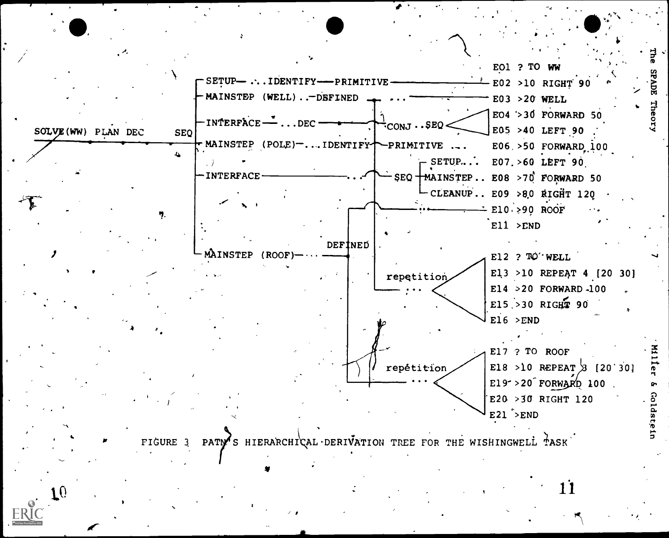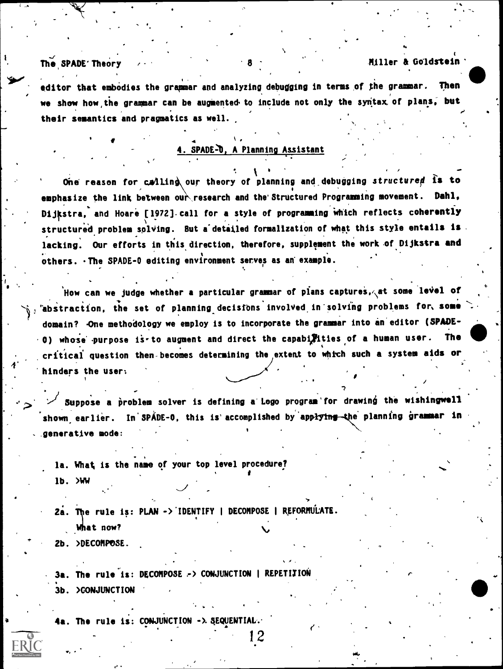### The SPADE Theory  $\sqrt{3}$  and  $\sqrt{3}$  and  $\sqrt{3}$  and  $\sqrt{3}$  and  $\sqrt{3}$  and  $\sqrt{3}$  and  $\sqrt{3}$  and  $\sqrt{3}$  and  $\sqrt{3}$  and  $\sqrt{3}$  and  $\sqrt{3}$  and  $\sqrt{3}$  and  $\sqrt{3}$  and  $\sqrt{3}$  and  $\sqrt{3}$  and  $\sqrt{3}$  and  $\sqrt{3}$  and

le controller

editor that embodies the grammar and analyzing debugging in terms of the grammar. we show how the grammar can be augmented to include not only the syntax of plans, but their semantics and pragmatics as well.

#### $\blacksquare$ <u>4. SPADE-0, A Planning Assistant</u>

One reason for calling our theory of planning and debugging structured is to emphasize the link between our research and the Structured Programming movement. Dahl, Dijkstra, and Hoare [1972] call for a style of programming which reflects coherently structured problem solving. But a detailed formalization of what this style entails is lacking. Our efforts in this direction, therefore, supplement the work of Dijkstra and others. The SPADE-0 editing environment serves as an example.

 $\alpha$  in the user: How can we judge whether a particular grammar of plans captures, $\lambda$ at some 'le $\mathbf{vel}$  of "abstraction, the set of planning.decistOns involVed.in'solvfng problems for, some domain? One methodology we employ is to incorporate the grammar into an editor (SPADE-0) whose purpose is to augment and direct the capabilities of a human user. The critical question then-becomes determining the extemt to which such a system aids or

Suppose a problem solver is defining a Logo program' for drawing the wishingwell shown earlier. In SPÁDE-0, this is accomplished by app<del>lying t</del>he planning grammar in generative mode:

1 2 and 2 and 2 and 2 and 2 and 2 and 2 and 2 and 2 and 2 and 2 and 2 and 2 and 2 and 2 and 2 and 2 and 2 and

la. What is the name of your top level procedure? a a shekara lb. >WW

2a. The rule is: PLAN -> IDENTIFY | DECOMPOSE | REFORMULATE. What now?

2b. >DECOMPOSE.

3a. The rule is: DECOMPOSE -> CONJUNCTION | REPETITION 3b. >CONJUNCTION

4a. The rule is: CONJUNCTION -> SEQUENTIAL.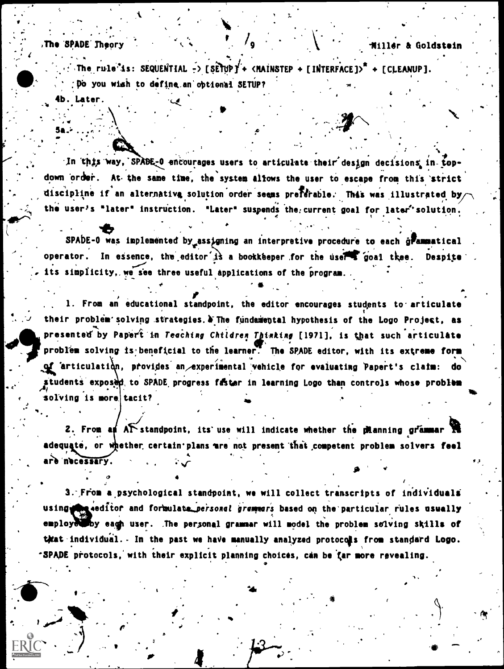The SPADE Theory

The rule is: SEQUENTIAL -> [SETUP] + <MAINSTEP + [INTERFACE]>\* + [CLEANUP]. Do you wish to define an optional SETUP? 4b. Later.

In this way, SPABE-0 encourages users to articulate their design decisions in topdown order. At the same time, the system allows the user to escape from this strict discipline if an alternativa solution order seems preferable. This was illustrated by the user's "later" instruction. "Later" suspends the current goal for later' solution.

SPADE-0 was implemented by assigning an interpretive procedure to each grammatical operator. In essence, the editor is a bookkeeper for the user goal tkee. Despite its simplicity, we see three useful applications of the program.

1. From an educational standpoint, the editor encourages students to articulate their problem solving strategies. W The fundamental hypothesis of the Logo Project, as presented by Papert in Teaching Children Thinking [1971], is that such articulate problem solving is beneficial to the learner. The SPADE editor, with its extreme form of articulation, provides an experimental vehicle for evaluating Papert's claim: do students exposed to SPADE progress faster in learning Logo than controls whose problem solving is more tacit?

2. From an  $A\tilde{\Gamma}$  standpoint, its use will indicate whether the meaning grammar  $\tilde{\mathbf{R}}$ adequaté, or whether certain plans are not present that competent problem solvers feel are necessary.

3. From a psychological standpoint, we will collect transcripts of individuals using the seditor and formulate personal grammars based on the particular rules usually employed by eagh user. The personal grammar will model the problem solving skills of that individual. In the past we have manually analyzed protocols from standard Logo. -SPADE protocols, with their explicit planning choices, can be far more revealing.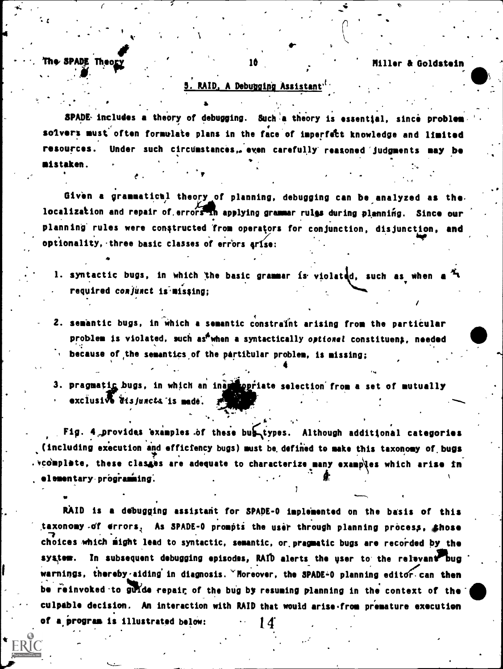#### $\bullet$  . The set of  $\bullet$ The SPADE Theo<u>ry and the second in the second second in the SPADE Theory and the second in the second second second in the second second in the second second in the second second in the second second in the second second </u>

 $\mathcal{L} = \{ \mathcal{L} \mid \mathcal{L} \in \mathcal{L} \}$ 

4

# 3. RAID, A Debugging Assistant".

SPADE- includes a theory of debugging. Such a theory is essential, since problem solvers must often formulate plans in the face of imperfect knowledge and limited resources. Under such circumstances,. even carefully reasoned judgments may be mistaken. ,

Given a grammatical theory of planning, debugging can be analyzed as the. localization and repair of errors in applying grammar rulgs during plenning. Since our planning rules were constructed from operators for conjunction, disjunction, and optionality, three basic classes of errors arise:

 $\sim$ 

.

1. syntactic bugs, in which the basic grammar is violated, such as when a  $\frac{\pi}{4}$ required conjunct is missing;

2. semantic bugs, in which a semantic constraint arising from the particular problem is violated, such as<sup>6</sup>when a syntactically optional constituen;, needed **because of the semantics of the particular problem, is missing;** 

3. pragmatic bugs, in which an ina priate selection from a set of mutually  $exciusi\sqrt{8}$  disjuncts is made.  $z^{n}$ 

4

Fig. 4, provides examples of these bub types. Although additional categories (including execution and efficiency bugs) must be.defined to make this taxonomy of. bugs .  $x$  ,  $y$  and  $z$  are classes are adequate to characterize many examples which arise in elementary programming.

RAID is a debugging assistant for SPADE-0 implemented on the basis of this taxonomy -of errors, As SPADE-0 prompts the user through planning process, shose choices which might lead to syntactic, semantic, or pragmatic bugs are recorded by the system. In subsequent debugging episodes, RAID alerts the user to the relevant bug warnings, thereby aiding in diagnosis. "Moreover, the SPADE-0 planning editor can then be reinvoked to guide repair of the bug by resuming planning in the context of the culpable decision. An interaction with RAID that would arise from premature execution of a program is illustrated below:  $14$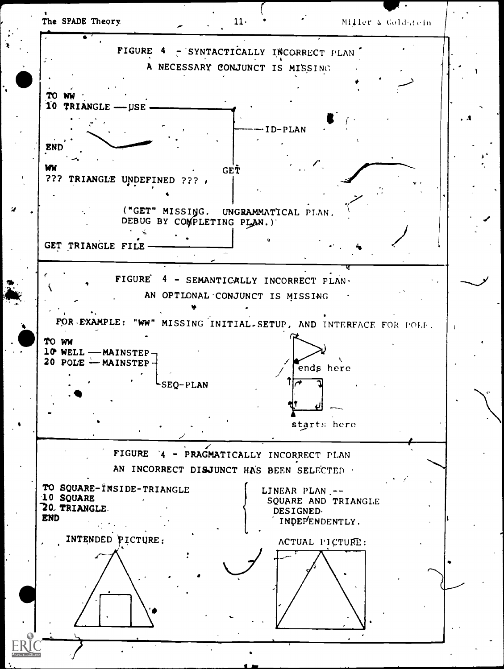

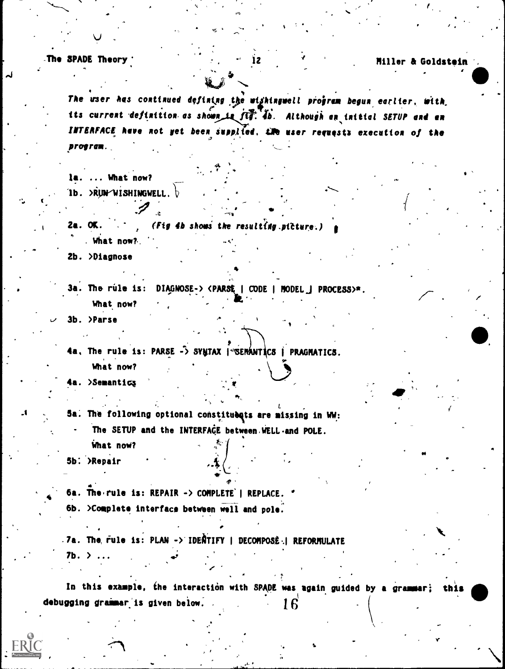The SPADE Theory '

Miller & Goldstein

The user has continued defining the wighingwell program begun earlier, with its current definition as shown is fly. 4b. Although an initial SETUP and an INTERFACE have not yet been supplied. Lie user requests execution of the program.

 $\mathbf{12}$ 

la. ... What now? 1b. >RUN $\sim$ WISHINGWELL.  $\flat$ 

 $2a.$  OK. (Fig 4b shows the resulting picture.) . What now?

2b. >Diagnose

3a. The rule is: DIAGNOSE-> <PARSE | CODE | MODEL | PROCESS>\*. What now?

3b. >Parse

4a. The rule is: PARSE -> SYNTAX | SEMANTICS | PRAGMATICS. What now?

4a. >Semantics

Sa. The following optional constituents are missing in WW: The SETUP and the INTERFACE between WELL and POLE. What now?

5b. >Repair

6a. The rule is: REPAIR -> COMPLETE' | REPLACE. " 6b. >Complete interface between well and pole.

.7a. The rule is: PLAN -> IDENTIFY | DECOMPOSÈ | REFORMULATE 

In this example, the interaction with SPADE was again guided by a grammar; debugging grammar is given below. 16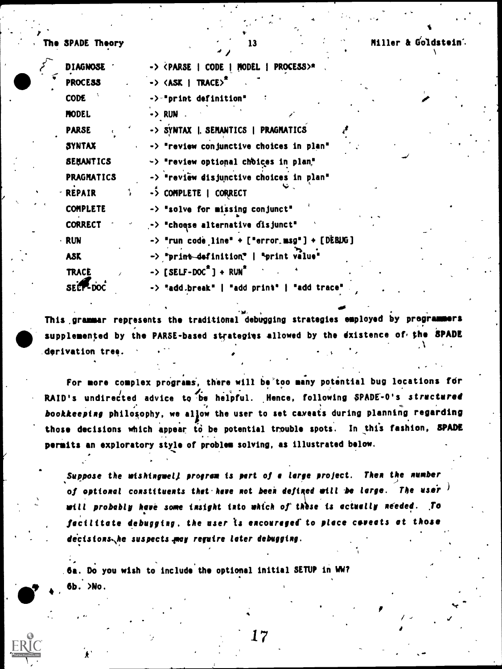$\mathcal{L}$  . The set of  $\mathcal{L}$ 

SPADE Theory 13 Miller & Goldstein's

| <b>DIAGNOSE</b>   | -> <parse code="" model="" process=""  ="">*</parse>      |
|-------------------|-----------------------------------------------------------|
| <b>PROCESS</b>    | $\rightarrow$ <ask trace=""  ="">"</ask>                  |
| <b>CODE</b>       | ->-"print definition"                                     |
| <b>MODEL</b>      | -> RUN                                                    |
| <b>PARSE</b>      | -> SYNTAX   SEMANTICS   PRAGMATICS                        |
| <b>SYNTAX</b>     | -> "review conjunctive choices in plan"                   |
| <b>SEHANTICS</b>  | -> "review optional choices in plan,"                     |
| <b>PRAGMATICS</b> | -> "review disjunctive choices in plan"                   |
| 1<br>- REPAIR     | -> COMPLETE   CORRECT                                     |
| <b>COMPLETE</b>   | -> "solve for missing conjunct"                           |
| <b>CORRECT</b>    | -> "choose alternative disjunct"                          |
| <b>RUN</b>        | $\rightarrow$ "run code line" + ["error.msg"] + [DEBUG]   |
| <b>ASK</b>        | -> "print definition"   "print value"                     |
| <b>TRACE</b>      | $\rightarrow$ [SELF-DOC <sup>*</sup> ] + RUN <sup>*</sup> |
| SECT-DOC          | -> "add.break"   "add print"<br>"add trace'               |

 $\overline{1}$ 

This grammar represents the traditional debugging strategies employed by programmers supplemented by the PARSE-based strategies allowed by the dxistence of the SPADE \_derivation tree.

 $\bullet$  . The set of  $\bullet$ 

/I

For more complex programs, there will be too many potential bug locations for  $\qquad \qquad \}$ RAID's undirected advice to be helpful. Hence, following SPADE-0's structured bookkeeping philosophy, we allow the user to set cameats during planning regarding those decisions which appear to be potential trouble spots. In this fashion, SPADE permits an exploratory style of problem solving, as illustrated below.

Suppose the wishingwell program is part of a large project. Then the number of optional constituents thet here not been defined will be large. The user  $\ell$ will probably have some insight into which of these is actually needed. To facilitate debugging. the user is encouraged to place coreats at those decisions he suspects may reguire later debugging.

6a. Do you wish to include the optional initial SETUP in WW? 6b. >No.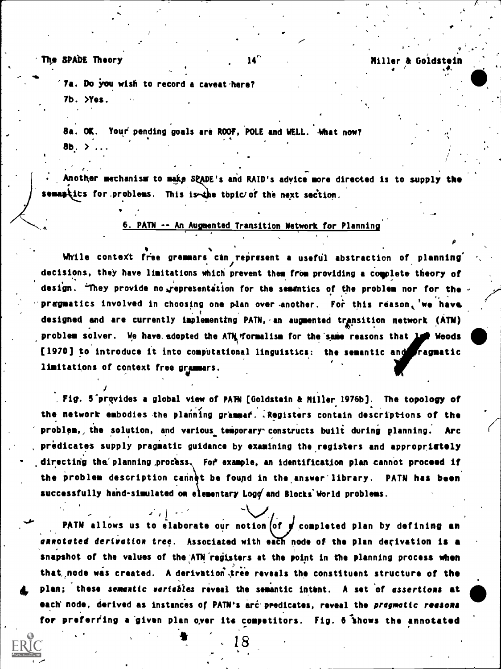The SPADE Theory  $14^{\circ}$  and  $14^{\circ}$  and  $1111$ er & Goldstein

J. .

 $\mathcal{L}$ 

4 . , ,

7a. Do you wish to record a caveat here? 7b. >Yes.

8a. OK. Your pending goals are ROOF, POLE and WELL. What now?  $8b.$   $\lambda$  ...

Another mechanism to make SPADE's and RAID's advice more directed is to supply the semantics for problems. This is the topic of the next section.

6. PAIN -- An Augmented Transition Network for Planning

While context free grammars can represent a useful abstraction of planning decisions, they have limitations which prevent them from providing a complete theory of design. They provide no representation for the semantics of the problem nor for the pragmatics involved in choosing one plan over another. For this reason, we have designed and are currently implementing PATN, an augmented transition network (ATN) problem solver. We have adopted the ATM formalism for the same reasons that 1. Weods [1970] to introduce it into computational linguistics: the semantic and ragmatic limitations of context free grammars.

Fig. 5-provides a global view of PAN [Goldstein & Miller 1976b]. The topology of the network embodies the planning grammaf. .Registers contain descriptions of the problem, the solution, and various temporary constructs built during planning. Arc predicates supply pragmatic guidance by examining the registers and appropriately directing the planning process. For example, an identification plan cannot proceed if the problem description cannet be found in the answer library. PATN has been successfully hand-simulated on elementary Logg and Blocks World problems.

 $\mathcal{F}$  ,  $\mathcal{F}$ PATN allows us to elaborate our notion of  $\frac{d}{dx}$  completed plan by defining an annotated derivation tree. Associated with each node of the plan derivation is a snapshot of the values of the ATN registers at the point in the planning process when that node was created. A derivation tree reveals the constituent structure of the plan; these semantic variables reveal the semantic intent. A set of assertions at each node, derived as instances of PATN's arc predicates, reveal the pragmatic reasons for preferring a given plan over its competitors. Fig. 6 shows the annotated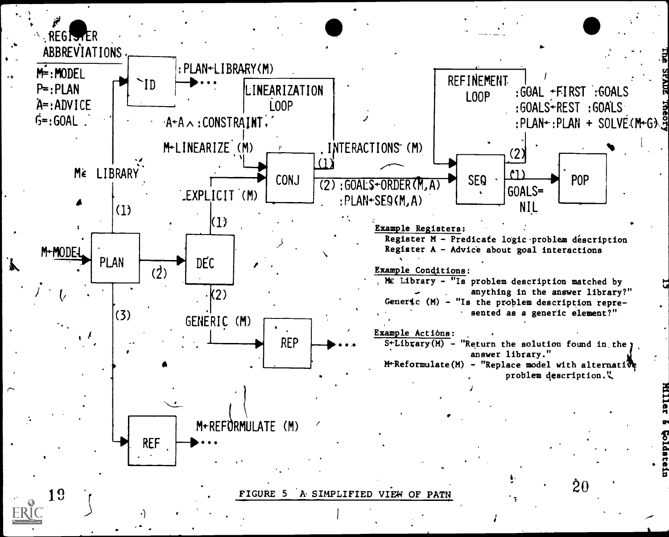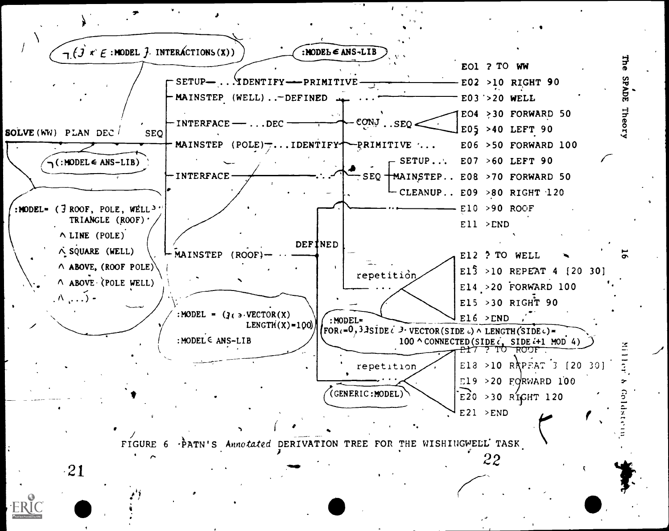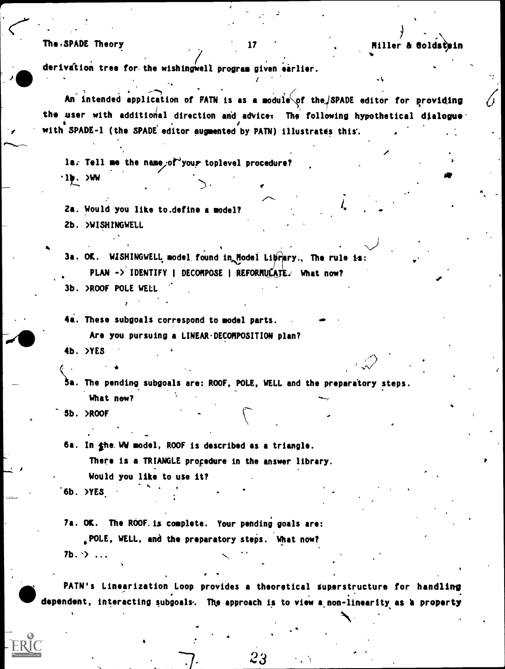#### The SPADE Theory

#### ) and the set of  $\mathcal{L}$ 17 Miller & Coldstain Miller & Coldstanding Miller & Coldstanding Miller Miller

derivation tree for the wishingwell program given earlier.

 $\gamma$  with SPADE-1 (the SPADE editor augmented by PATN) illustrates this.  $\gamma$ An'intended application of PATN is as a module of the  $/$ SPADE editor for providing the user with additional direction and advice: The following hypothetical dialogue.

/

la. Tell me the name, of your toplevel procedure?  $\cdot$ 1 $\blacktriangleright$ . >WW

2a. Would you like to.define a model? 2b. WISHINGWELL

3a. OK. WISHINGWELL model found in Model Library., The rule is: PLAN -> IDENTIFY | DECOMPOSE | REFORMULATE./ What now? 3b. >ROOF POLE WELL

4i. These subgoals correspond to model parts.

Are you pursuing a LINEAR. DECOMPOSITION plan?

4b. >YES

Sa. The pending subgoals are: ROOF, POLE, WELL and the preparatory steps. What now?

dB.

5b. )ROOF

6a. In the WW model, ROOF is described as a triangle.

There is a TRIANGLE procedure in the answer library.

Would you like to use it? -

"6b. >YES.

 $\blacksquare$ 

7a. OK. The ROOF. is complete. Your pending goals are: 'POLE, WELL, and the preparatory steps. What now?  $7b.$   $\rightarrow$  ...

PATN's Linearization Loop provides a theoretical Superstructure for handling dependent, interacting subgoals. The approach is to view a non-linearity as a property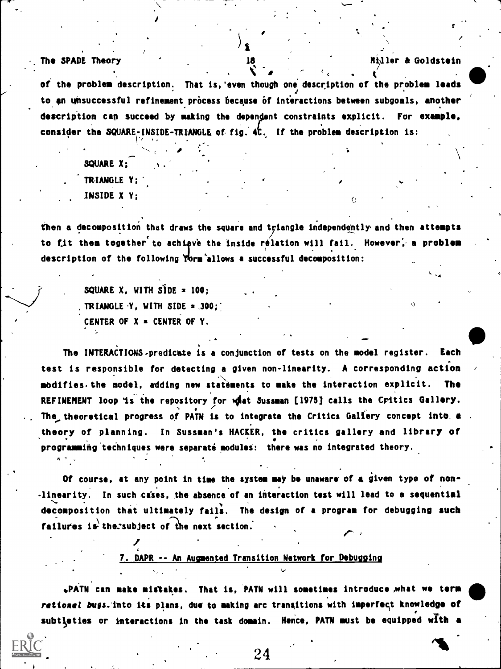The SPADE Theory

Miller & Goldstein

of the problem description. That is, even though one description of the problem leads to an unsuccessful refinement process because of interactions between subgoals, another description can succeed by making the dependent constraints explicit. For example. consider the SQUARE-INSIDE-TRIANGLE of fig. 4C. If the problem description is:

18

SQUARE X: TRIANGLE Y: INSIDE X Y:

then a decomposition that draws the square and triangle independently and then attempts to fit them together to achieve the inside relation will fail. However, a problem description of the following Yorm allows a successful decomposition:

> SQUARE X, WITH  $S1DE = 100$ ; TRIANGLE Y. WITH SIDE = .300: CENTER OF  $X = \text{CENTER}$  OF Y.

The INTERACTIONS-predicate is a conjunction of tests on the model register. Each test is responsible for detecting a given non-linearity. A corresponding action modifies the model, adding new statements to make the interaction explicit. **The** REFINEMENT loop is the repository for what Sussman [1975] calls the Critics Gallery. The theoretical progress of PATN is to integrate the Critics Gallery concept into. a theory of planning. In Sussman's HACKER, the critics gallery and library of programming techniques were separate modules: there was no integrated theory.

Of course, at any point in time the system may be unaware of a given type of non--linearity. In such cases, the absence of an interaction test will lead to a sequential decomposition that ultimately fails. The design of a program for debugging such failures is the subject of the next section.

### 7. DAPR -- An Augmented Transition Network for Debugging

.PATN can make mistakes. That is, PATN will sometimes introduce what we term retionel bugs. into its plans, due to making arc transitions with imperfect knowledge of subtleties or interactions in the task domain. Hence, PATN must be equipped with a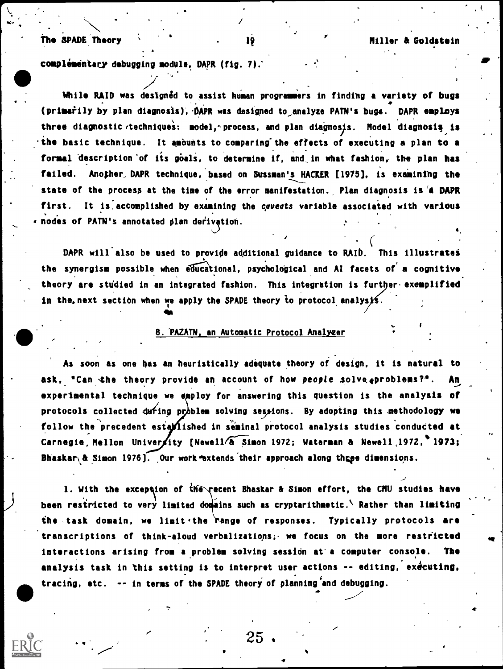### 19 Miller & Goldstein

### The SPADE Theory

 $\mathbf{x} \cdot \begin{bmatrix} 1 & \cdots & 1 \\ 1 & \cdots & 1 \end{bmatrix}$ 

 $\bullet$  ,  $\bullet$  ,  $\bullet$ 

complementary debugging module, DAPR (fig. 7).

While RAID was designed to assist human programmers in finding a variety of bugs  $\bullet$ (primarily by plan diagnosis), DAPR was designed to analyze PATN's bugs. DAPR employs the service of  $\sim$ three diagnostic techniques: model, process, and plan diagnosis. Model diagnosis is  $\cdot$  the basic technique. It amounts to comparing the effects of executing a plan to a formal description of its goals, to determine if, and in what fashion, the plan has failed. Another DAPR technique, based on Sussman's HACKER [1975], is examining the state of the process at the time of the error manifestation. Plan diagnosis is a DAPR first. It is accomplished by examining the caveats variable associated with various . . . nodes of PATN's annotated plan derivation.

DAPR will also be used to provide additional guidance to RAID. This illustrates the synergism possible when educational, psychological and AI facets of a cognitive theory are studied in an integrated fashion. This integration is further exemplified in the next section when we apply the SPADE theory to protocol analysis.

### 8. PAZATN, an Automatic Protocol Analyzer

**410 100 <b>100** 

As soon as one has an heuristically adequate theory of design, it is natural to ask, "Can the theory provide an account of how people solve. problems?". An experimental technique we employ for answering this question is the analysis of protocols collected during problem solving sessions. By adopting this methodology we follow the precedent estallished in seminal protocol analysis studies conducted at Carnegie, Mellon University [Newell/ $\delta$  Simon 1972; Waterman & Newell 1972, 1973; Bhaskar $\sqrt{a}$  Simon 1976]. Our work extends their approach along three dimensions.

1. With the exception of the recent Bhaskar & Simon effort, the CMU studies have been restricted to very limited domains such as cryptarithmetic. Rather than limiting the task domain, we limit the range of responses. Typically protocols are transcriptions of think-aloud verbalizations;- we focus on the more restricted interactions arising from a problem solving session at a computer console. The analysis task in this setting is to interpret user actions -- editing, executing, tracing, etc. -- in terms of the SPADE theory of planning and debugging.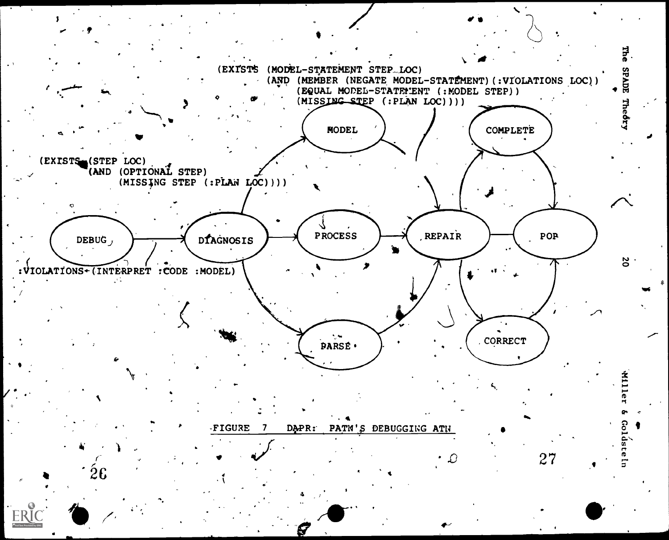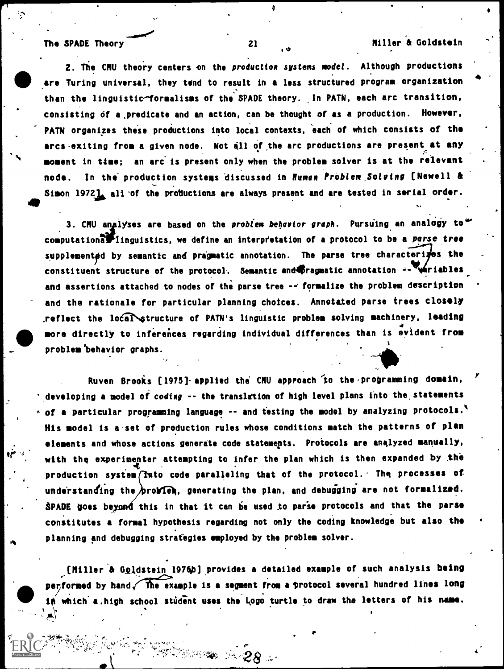$\mathcal{P}$ 

Simon 1972 all of the productions are always present and are tested in serial order. 2. The CMU theory centers on the production systems model. Although productions are Turing universal, they tend to result in a less structured program organization than the linguistic-formalisms of the SPADE theory. In PATN, each arc transition, consisting of a.predicate and an action, can be thought of as a production. However, PATH organizes these productions into local contexts, each of which consists of the arcs exiting from a given node. Not all of the arc productions are present at any moment in time; an arc. is present only when the problem solver is at the relevant node. In the production systems discussed in Human Problem Solving [Newell &

3. CMU analyses are based on the problem behavior graph. Pursuing an analogy to" computational finguistics, we define an interpretation of a protocol to be a parse tree supplemented by semantic and pragmatic annotation. The parse tree characterizes the constituent structure of the protocol. Semantic and40 ragmatic annotation  $-1$ 141 riables and assertions attached to nodes of the parse tree -- formalize the problem description and the rationale for particular planning choices. Annotated parse trees closely reflect the local structure of PATN's linguistic problem solving machinery, leading  $\overline{A}$ .  $\overline{A}$ .  $\overline{A}$ .  $\overline{A}$ .  $\overline{A}$ .  $\overline{A}$ .  $\overline{A}$ .  $\overline{A}$ .  $\overline{A}$ .  $\overline{A}$ .  $\overline{A}$ .  $\overline{A}$ .  $\overline{A}$ .  $\overline{A}$ .  $\overline{A}$ .  $\overline{A}$ .  $\overline{A}$ .  $\overline{A}$ .  $\overline{A}$ .  $\overline{A}$ .  $\overline{A}$ .  $\overline{A}$ . more directly to inferences regarding individual differences than is evident from  $\qquad$ problem behavior graphs.

Ruven Brooks [1975] applied the CMU approach to the programming domain, developing a model of coding -- the translation of high level plans into the, statements  $\cdot$  of a particular programming language -- and testing the model by analyzing protocols. His model is a set of production rules whose conditions match the patterns of plan elements and whose actions generate code statements. Protocols are analyzed manually, with the experimenter attempting to infer the plan which is then expanded by the production system (Into code paralleling that of the protocol. The processes of understanding the problem, generating the plan, and debugging are not formalized. SPADE goes beyond this in that it can be used to parse protocols and that the parse constitutes a formal hypothesis regarding not only the coding knowledge but also the planning and debugging strategies employed by the problem solver.

[Miller & Goldstein 1976b] provides a detailed example of such analysis being performed by hand  $\widehat{\phantom{a}}$  The example is a segment from a protocol several hundred lines long in which a.high school student uses the Logo turtle to draw the letters of his name.

8889900 A.28 4

, or  $\bullet$  , and  $\bullet$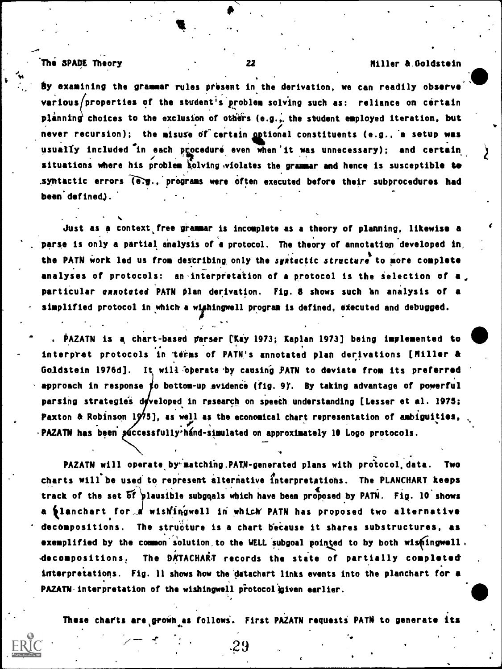### . The WAGE Theory <sup>22</sup> Miller &,Goldstein

...

**By examining the grammar rules present in the derivation, we can readily observe** . various/properties of the student's problem solving such as: reliance on certain planning choices to the exclusion of others (e.g., the student employed iteration, but never recursion); the misuse of certain optional constituents (e.g., a setup was usually included in each procedure even when'it was unnecessary); and certain situations where his problem solving violates the grammar and hence is susceptible to .syntactic errors (e.g., programs were often executed before their subprocedures had been defined).

Just as a context free grammar is incomplete as a theory of planning, likewise a parse is only a partial analysis of a protocol. The theory of annotation developed in, the PATN work led us from describing only the systectic structure to more complete analyses of protocols: an interpretation of a protocol is the selection of a, particular annotated PATN plan derivation. Fig. 8 shows such an analysis of a simplified protocol in which a wishingwell program is defined, executed and debugged.

. PAZATN is a chart-based parser [Kay 1973; Kaplan 1973] being implemented to interpret protocols in terms of PATN's annotated plan derivations [Miller & Goldstein 1976d]. It will Operate by causing PATN to deviate from its preferred approach in response to bottom-up evidence (fig. 9). By taking advantage of powerful parsing strategies developed in research on speech understanding [Lesser et al. 1975; Paxton & Robinson 1975], as well as the economical chart representation of ambiguities, -PAZATN has been successfully'hand-simulated on approximately 10 Logo protocols.

PAZATN will operate by matching.PATN-generated plans with protocol data. Two charts will be used to represent alternative interpretations. The PLANCHART keeps track of the set of plausible subgoals which have been proposed by PATN. Fig. 10 shows a planchart for d wishingwell in which PATN has proposed two alternative decompositions. The structure is a chart because it shares substructures, as exemplified by the common solution to the WELL subgoal pointed to by both wishingwell. decompositions. The DATACHART records the state of partially completed interpretations. Fig. 11 shows how the datachart links events into the planchart for a PAZATN-interpretation of the wishingwell protocol given earlier.

These charts are grown as follows. First PAZATN requests PATN to generate its

 $-29$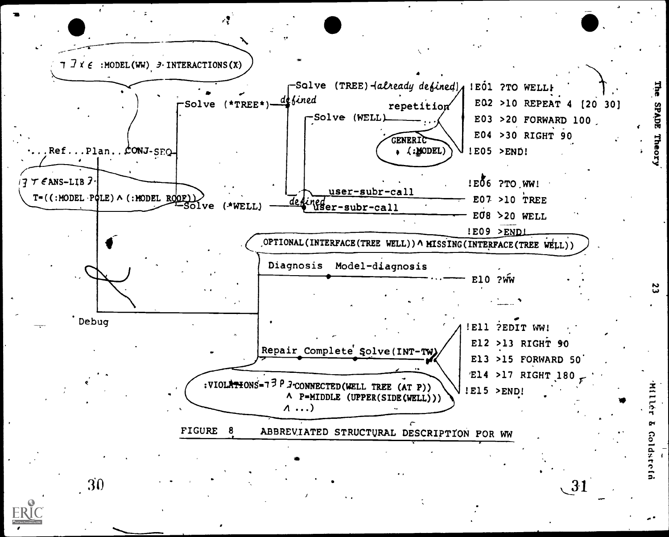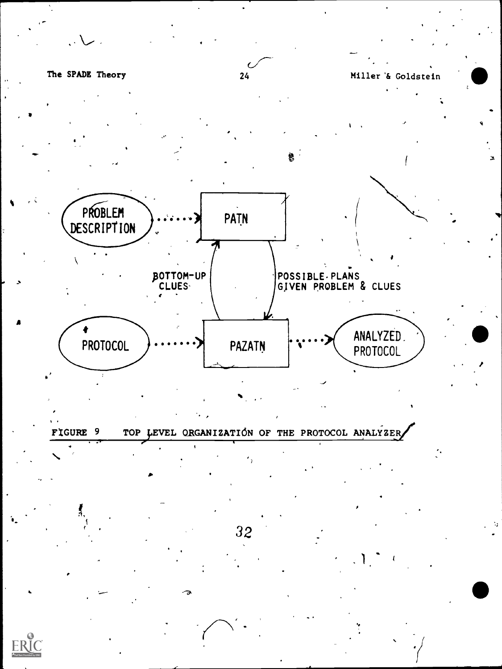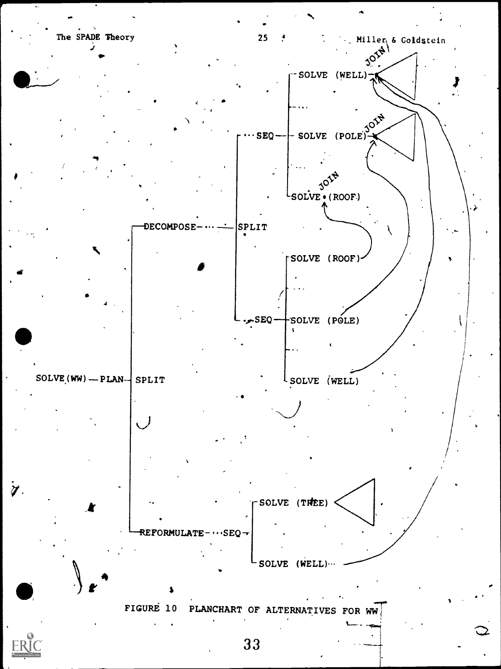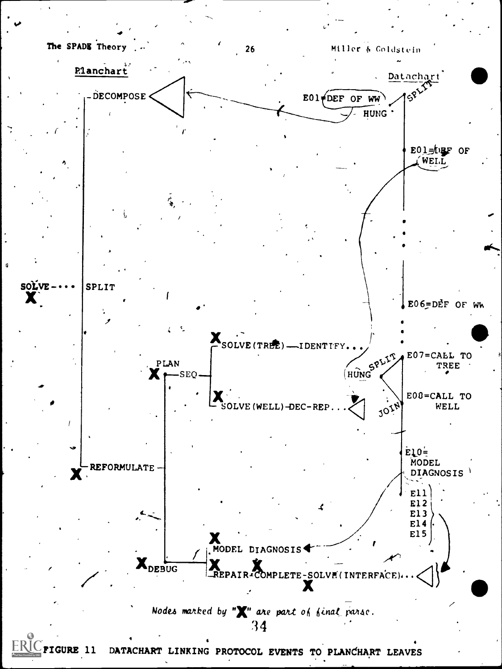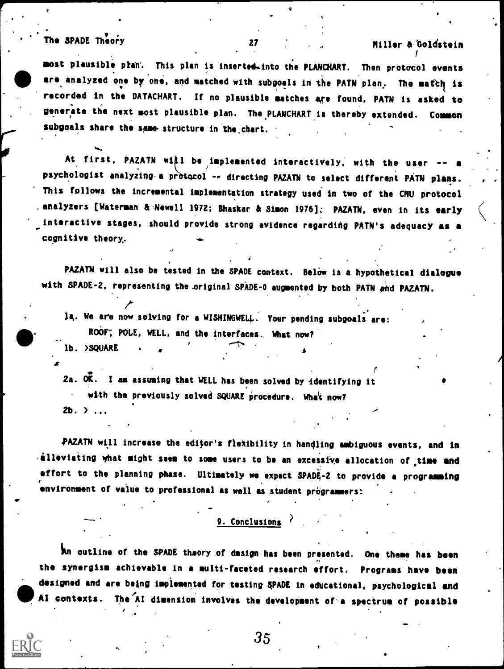# The SPADE Theory 27 27 Miller & Goldstein

 $\mathbf{t}$ 

t in the state of the

most plausible pran. This plan is inserted-into the PLANCHART. Then protocol events are analyzed one by one, and matched with subgoals in the PATN plan. The match is recorded in the DATACHART. If no plausible matches are found, PAIN is asked to generate the next most plausible plan. The.PLANCHARTis thereby extended. Common subgoals share the same structure in the chart.

At first, PAZATN will be implemented interactively, with the user -- a Inc. psychologist analyzing a protocol -- directing PAZATN to select different PATN plans. This follows the incremental implementation strategy used in two of the CHU protocol analyzers [Waterman & Newell 1972; Bhaskar & Simon 1976]; PAZATN, even in its early interactive stages, should provide strong evidence regarding PATN's adequacy as a cognitive theory,.

PAZATN will also be tested in the SPADE context. Below is a hypothetical dialogue with SPADE-2, representing the original SPADE-0 augmented by both PATN and PAZATN.

 $\overline{t}$ Ia. We are now solving for a WISHINGWEL4.. Your pending subgoals are: ROOF, POLE, WELL, and the interfaces. What now? lb. >SQUARE .

2a.  $\overline{0K}$ . I am assuming that WELL has been solved by identifying it with the previously solved SQUARE procedure. What now?  $2b.$   $\rightarrow$   $\ldots$ 

PAZATN will increase the editor's flexibility in handling ambiguous events, and in  $\cdot$  alleviating what might seem to some users to be an excessive allocation of time and effort to the planning phase. Ultimately we expect SPADE-2 to provide a programming environment of value to professional as well as student programmers:

#### 9. Conclusions

An outline of the SPADE theory of design has been presented. One theme has been the synergism achievable in a multi-faceted research effort. Programs have been designed and are being implemented for testing SPADE in educational, psychological and AI contexts. The AI dimension involves the development of a spectrum of possible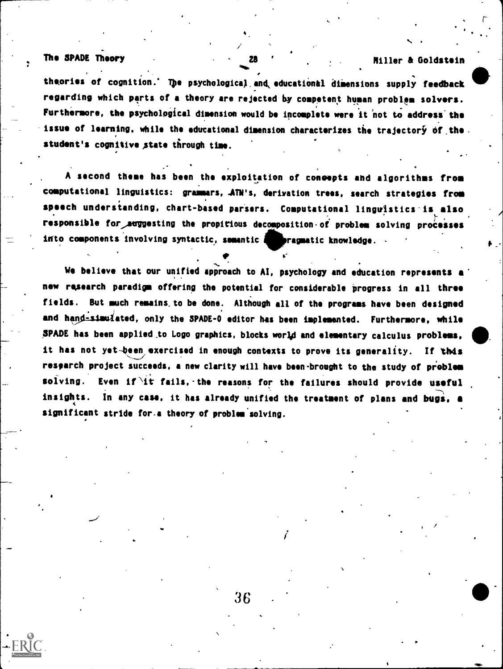### The SPADE Theory 28 (2008) 2008 2009 Miller & Goldstein

r--

theories of cognition.' The psychological and educational dimensions supply feedback regarding which parts of a theory are rejected by competent human problem solvers. Furthermore, the psychological dimension would be incomplete were it not to address the issue of learning, while the educational dimension characterizes the trajectory of the. . student's cognitive state through time.

A second theme has been the exploitation of coneepts and algorithms from computational linguistics: grammars, derivation trees, search strategies from speech understanding, chart-based parsers. Computational linguistics'is also responsible for suggesting the propitious decomposition of problem solving processes into components involving syntactic, semantic and pragmatic knowledge.

We believe that our unified approach to AI, psychology and education represents a new research paradigm offering the potential for considerable progress in all three fields. But much remains. to be done. Although all of the programs have been designed and hand-simulated, only the SPADE-0 editor has been implemented. Furthermore, while SPADE has been applied to Logo graphics, blocks world and elementary calculus problems, it has not yet-been exercised in enough contexts to prove its generality. If this resparth project succeeds, a new clarity will have been-brought to the study of problem solving. Even if it fails, the reasons for the failures should provide useful insights. In any case, it has already unified the treatment of plans and bugs, a 4 significant stride for a theory of problem solving.

 $\mathbf{I}$  is a set of  $\mathbf{I}$ 

ti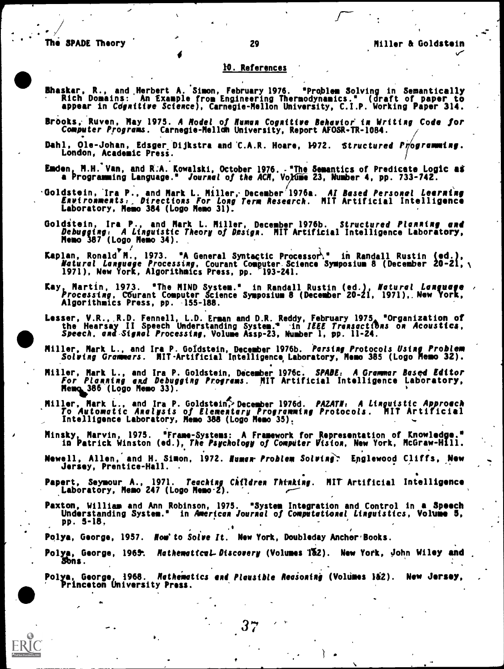$\blacksquare$ 

 $\mathcal{F}$  . The set of  $\mathcal{S}$ 

#### 10. References

- Bhaskar, R., and Herbert A. Simon, February 1976. 'Problem Solving in Semantically Rich Domains: An Example from Engineering Thermodynamics.' (draft of paper to appear in COgnitive Science), Carnegie-Mellon University, C.I.P. Working Paper 314.
- Brooks; Ruven, May 1975. A Model of human Cognitive Behavior in Writing Code for Computer Programs. Carnegie-Mellom University, Report AFOSR-TR-1084.  $\qquad \qquad /$
- Dahl, Ole-Johan, Edsger Dijkstra and C.A.R. Hoare, 1972. Structured Programmaing. London, Academic Press.
- Emden, H.H. Van, and R.A. Kowalski, October 1976... "The Semantics of Predicate Logic as a Programming Language." Jou*rnal of the ACM*, Vo*l*dme 23, Number 4, pp. 733-742.
- Goldstein, 'Ira P., and Mark L. Miller, December 1976a. Al Based Personal Leerntng Environments:. Directions For Long Tern Research. MIT Artificial Intelligence Laboratory, Memo 384 (Logo Memo 31).
- Golditein, Ira P. and Mark L. Miller, December 1976b. Structured Planning and Debugging, A P., and Ma Theory of Design. MIT Artificial Intelligence Laboratory, Memo 387 (Logo Memo 34).
- Kaplan, Ronald H., 1973. "A General Syntactic Processor." in Randall Rustin (ed.), The law Natural Language Processing, Courant Computer Science Symposium 8 (December 20-21, 1971), New York, Algorithmics Press, pp. 193-241.
- Kay, Martin, 1973. 'The MIND System." in Randall Rustin (ed.), Natural Language Processing, C6urant Computer Science Symposium 8 (December 20-21, 1971),. New York, Algorithmics Press, pp. -155-188.
- Lesser, V.R., R.D. Fennell, L.D. Erman and D.R. Reddy, February 1975, "Organization of<br>the Hearsay II Speech Understanding System." in *IEEE Trensections* on *Acoustica,*<br>Speech, and Signal Processing, Volume Assp-23, Numb
- Miller, Mark L., and Ira P. Goldstein, December 1976b. Parsing Protocols Using Problem Solving Grammars. MIT-Artificial Intelligence Laboratory, Memo 385 (Logo Memo 32).
- Miller, Mark L., and Ira P. Goldstein, December 1976c. SPADE, A Grammar Based Editor For Planning and Debugging Programs. MIT Artificial Intelligence Laboratory, Memo 386 (Logo Memo 33).
- Miller, Mark L., and Ira P. Goldstein $\gamma$  December 1976d. *PAZATN: A Linguistic Approach* To Automatic Analysis of Elementary Programming Protocols. MIT Artificial Intelligence Laboratory, Memo 385 (Logo Memo 35)<sub>t</sub>
- Minsky, Marvin, 1975. 'Frame-Systems: A Framework for fepresentation of Knowledge.' in Patrick Winston (ed.), The Psychology of Compdter Vision, New York, McGraw-Hill.
- Newell, Allen, and H. Simon, 1972. Humen- Problem Solving: Englewood Cliffs, New Jersey, Prentice-Hall.
- Papert, Seymour A., 1971. *Teaching Children Thinking*. MIT Artificial Intelligence Laboratory, Memo 247 (Logo Memo2). '.
- Paxton, William and Ann Robinson, 1975. 'System Integration and Control in a Speech Understanding System.' in American Journal of Computational Linguistics, Volume 5, Pp. 5-18,

.\*

- Polya, George, 1957. Now'to Solve It. New York, Doubleday Anchor Books.
- Pol<u>y</u>a, George, s. See also a series of the series of the series of the series of the series of the series of the series of the series of the series of the series of the series of the series of the series of the series of the series of th 1965: *Hathematical Discovery* (Volumes 1&2). New York, John Wiley and <u>John</u>  $S\ddot{o}$ ns.
- Nathematics and Plausible Reasoning (Volumes 182). New Jersey, ' Princeton University Press.

 $37$  and  $37$